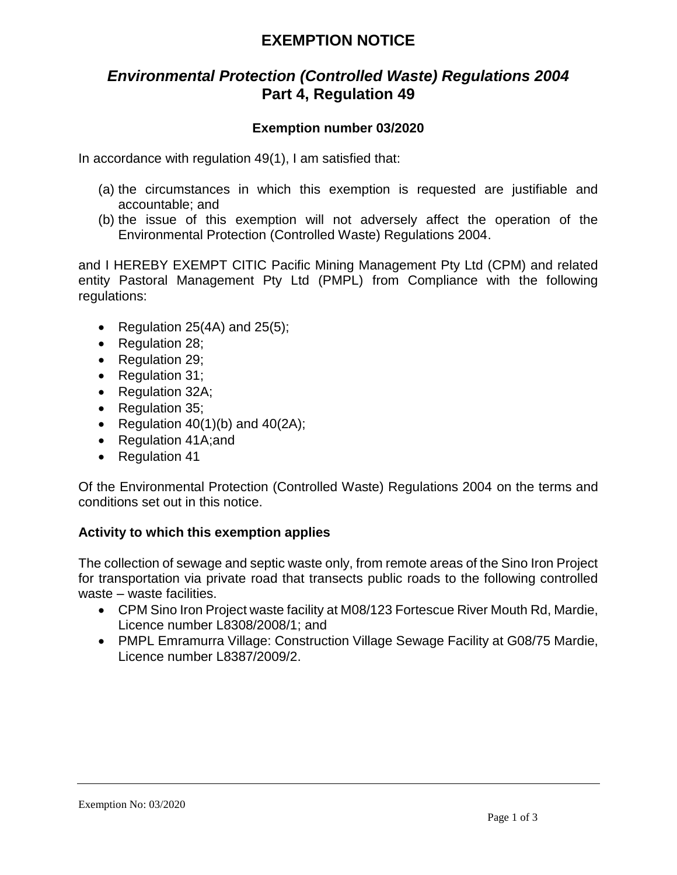# **EXEMPTION NOTICE**

## *Environmental Protection (Controlled Waste) Regulations 2004* **Part 4, Regulation 49**

## **Exemption number 03/2020**

In accordance with regulation 49(1), I am satisfied that:

- (a) the circumstances in which this exemption is requested are justifiable and accountable; and
- (b) the issue of this exemption will not adversely affect the operation of the Environmental Protection (Controlled Waste) Regulations 2004.

and I HEREBY EXEMPT CITIC Pacific Mining Management Pty Ltd (CPM) and related entity Pastoral Management Pty Ltd (PMPL) from Compliance with the following regulations:

- Regulation  $25(4A)$  and  $25(5)$ ;
- Regulation 28;
- Regulation 29;
- Regulation 31;
- Regulation 32A;
- Regulation 35:
- Regulation  $40(1)(b)$  and  $40(2A)$ ;
- Regulation 41A; and
- Regulation 41

Of the Environmental Protection (Controlled Waste) Regulations 2004 on the terms and conditions set out in this notice.

### **Activity to which this exemption applies**

The collection of sewage and septic waste only, from remote areas of the Sino Iron Project for transportation via private road that transects public roads to the following controlled waste – waste facilities.

- CPM Sino Iron Project waste facility at M08/123 Fortescue River Mouth Rd, Mardie, Licence number L8308/2008/1; and
- PMPL Emramurra Village: Construction Village Sewage Facility at G08/75 Mardie, Licence number L8387/2009/2.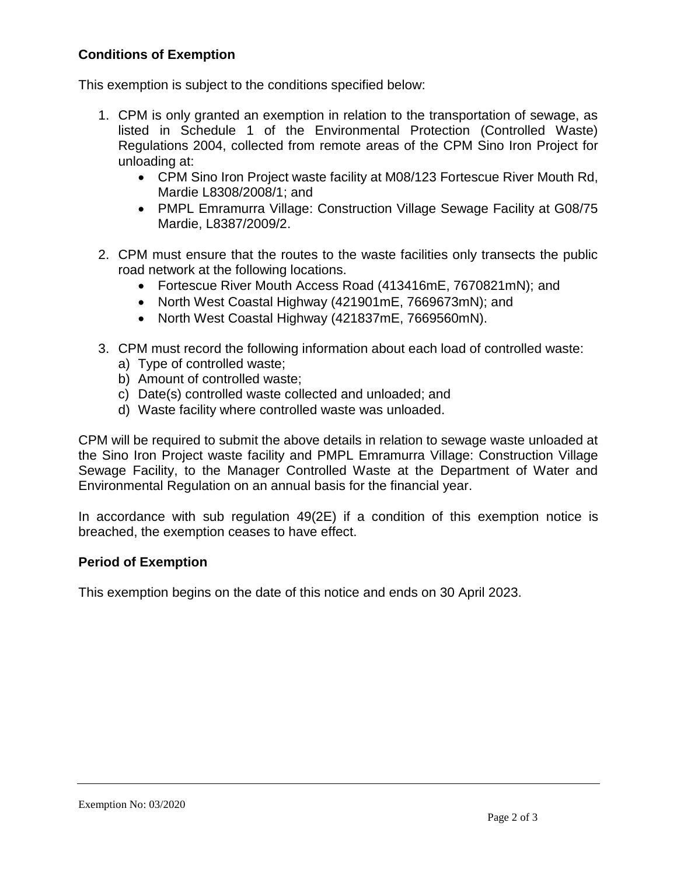## **Conditions of Exemption**

This exemption is subject to the conditions specified below:

- 1. CPM is only granted an exemption in relation to the transportation of sewage, as listed in Schedule 1 of the Environmental Protection (Controlled Waste) Regulations 2004, collected from remote areas of the CPM Sino Iron Project for unloading at:
	- CPM Sino Iron Project waste facility at M08/123 Fortescue River Mouth Rd, Mardie L8308/2008/1; and
	- PMPL Emramurra Village: Construction Village Sewage Facility at G08/75 Mardie, L8387/2009/2.
- 2. CPM must ensure that the routes to the waste facilities only transects the public road network at the following locations.
	- Fortescue River Mouth Access Road (413416mE, 7670821mN); and
	- North West Coastal Highway (421901mE, 7669673mN); and
	- North West Coastal Highway (421837mE, 7669560mN).
- 3. CPM must record the following information about each load of controlled waste:
	- a) Type of controlled waste;
	- b) Amount of controlled waste;
	- c) Date(s) controlled waste collected and unloaded; and
	- d) Waste facility where controlled waste was unloaded.

CPM will be required to submit the above details in relation to sewage waste unloaded at the Sino Iron Project waste facility and PMPL Emramurra Village: Construction Village Sewage Facility, to the Manager Controlled Waste at the Department of Water and Environmental Regulation on an annual basis for the financial year.

In accordance with sub regulation 49(2E) if a condition of this exemption notice is breached, the exemption ceases to have effect.

## **Period of Exemption**

This exemption begins on the date of this notice and ends on 30 April 2023.